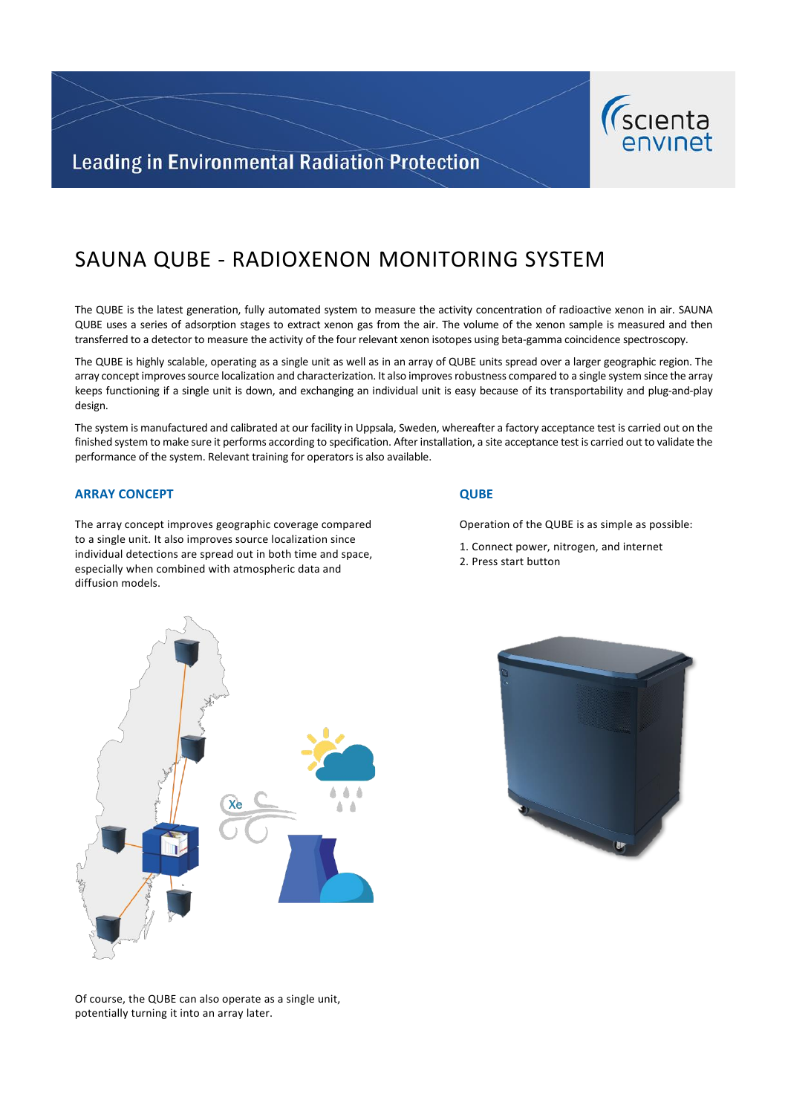

# **Leading in Environmental Radiation Protection**

# SAUNA QUBE - RADIOXENON MONITORING SYSTEM

The QUBE is the latest generation, fully automated system to measure the activity concentration of radioactive xenon in air. SAUNA QUBE uses a series of adsorption stages to extract xenon gas from the air. The volume of the xenon sample is measured and then transferred to a detector to measure the activity of the four relevant xenon isotopes using beta-gamma coincidence spectroscopy.

The QUBE is highly scalable, operating as a single unit as well as in an array of QUBE units spread over a larger geographic region. The array concept improves source localization and characterization. It also improves robustness compared to a single system since the array keeps functioning if a single unit is down, and exchanging an individual unit is easy because of its transportability and plug-and-play design.

The system is manufactured and calibrated at our facility in Uppsala, Sweden, whereafter a factory acceptance test is carried out on the finished system to make sure it performs according to specification. After installation, a site acceptance test is carried out to validate the performance of the system. Relevant training for operators is also available.

### **ARRAY CONCEPT**

The array concept improves geographic coverage compared to a single unit. It also improves source localization since individual detections are spread out in both time and space, especially when combined with atmospheric data and diffusion models.

#### **QUBE**

Operation of the QUBE is as simple as possible:

- 1. Connect power, nitrogen, and internet
- 2. Press start button





Of course, the QUBE can also operate as a single unit, potentially turning it into an array later.